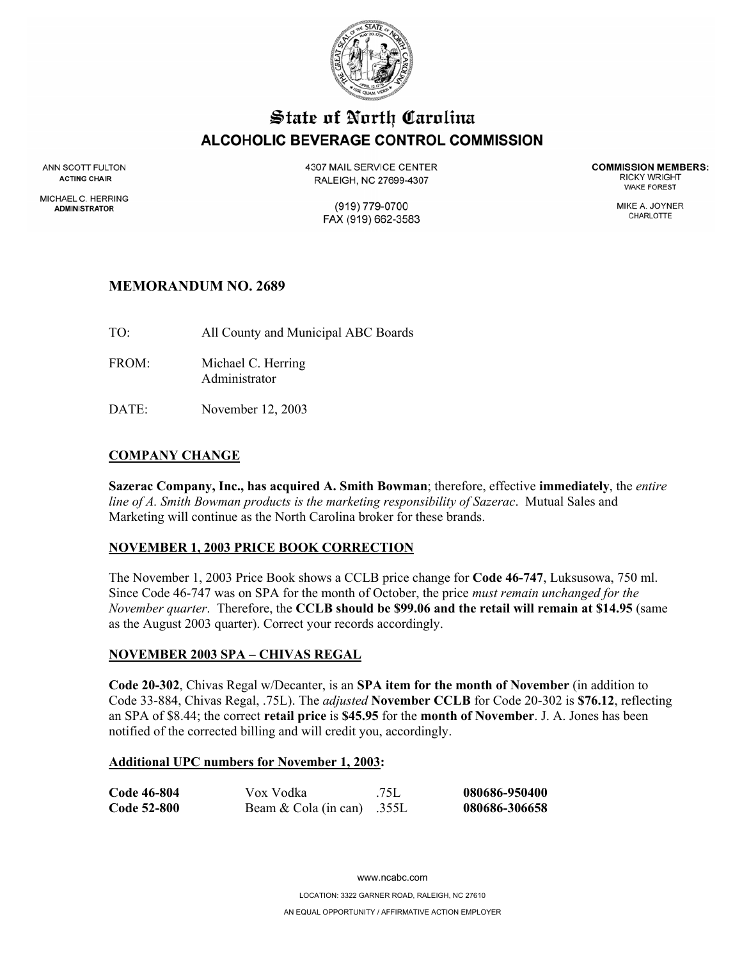

# State of North Carolina **ALCOHOLIC BEVERAGE CONTROL COMMISSION**

ANN SCOTT FULTON **ACTING CHAIR** 

MICHAEL C. HERRING **ADMINISTRATOR** 

**4307 MAIL SERVICE CENTER** RALEIGH, NC 27699-4307

> (919) 779-0700 FAX (919) 662-3583

**COMMISSION MEMBERS: RICKY WRIGHT WAKE FOREST** 

> MIKE A. JOYNER CHARLOTTE

## **MEMORANDUM NO. 2689**

TO: All County and Municipal ABC Boards

FROM: Michael C. Herring Administrator

DATE: November 12, 2003

## **COMPANY CHANGE**

**Sazerac Company, Inc., has acquired A. Smith Bowman**; therefore, effective **immediately**, the *entire line of A. Smith Bowman products is the marketing responsibility of Sazerac*. Mutual Sales and Marketing will continue as the North Carolina broker for these brands.

#### **NOVEMBER 1, 2003 PRICE BOOK CORRECTION**

The November 1, 2003 Price Book shows a CCLB price change for **Code 46-747**, Luksusowa, 750 ml. Since Code 46-747 was on SPA for the month of October, the price *must remain unchanged for the November quarter*. Therefore, the **CCLB should be \$99.06 and the retail will remain at \$14.95** (same as the August 2003 quarter). Correct your records accordingly.

#### **NOVEMBER 2003 SPA – CHIVAS REGAL**

**Code 20-302**, Chivas Regal w/Decanter, is an **SPA item for the month of November** (in addition to Code 33-884, Chivas Regal, .75L). The *adjusted* **November CCLB** for Code 20-302 is **\$76.12**, reflecting an SPA of \$8.44; the correct **retail price** is **\$45.95** for the **month of November**. J. A. Jones has been notified of the corrected billing and will credit you, accordingly.

#### **Additional UPC numbers for November 1, 2003:**

| Code 46-804 | Vox Vodka                  | .75L | 080686-950400 |
|-------------|----------------------------|------|---------------|
| Code 52-800 | Beam & Cola (in can) .355L |      | 080686-306658 |